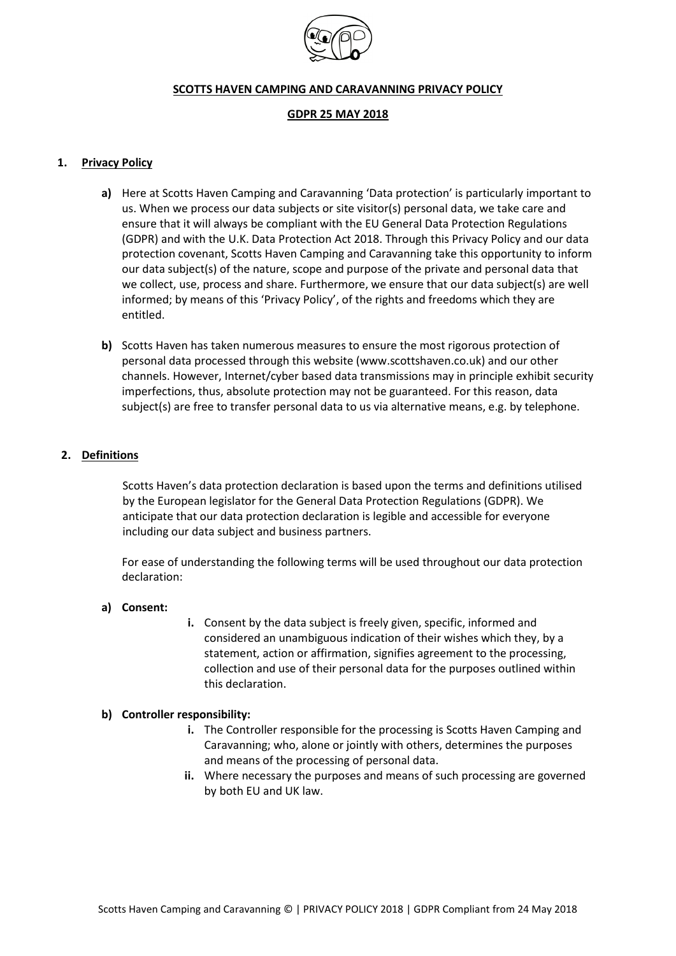

#### **SCOTTS HAVEN CAMPING AND CARAVANNING PRIVACY POLICY**

#### **GDPR 25 MAY 2018**

### **1. Privacy Policy**

- **a)** Here at Scotts Haven Camping and Caravanning 'Data protection' is particularly important to us. When we process our data subjects or site visitor(s) personal data, we take care and ensure that it will always be compliant with the EU General Data Protection Regulations (GDPR) and with the U.K. Data Protection Act 2018. Through this Privacy Policy and our data protection covenant, Scotts Haven Camping and Caravanning take this opportunity to inform our data subject(s) of the nature, scope and purpose of the private and personal data that we collect, use, process and share. Furthermore, we ensure that our data subject(s) are well informed; by means of this 'Privacy Policy', of the rights and freedoms which they are entitled.
- **b)** Scotts Haven has taken numerous measures to ensure the most rigorous protection of personal data processed through this website (www.scottshaven.co.uk) and our other channels. However, Internet/cyber based data transmissions may in principle exhibit security imperfections, thus, absolute protection may not be guaranteed. For this reason, data subject(s) are free to transfer personal data to us via alternative means, e.g. by telephone.

### **2. Definitions**

Scotts Haven's data protection declaration is based upon the terms and definitions utilised by the European legislator for the General Data Protection Regulations (GDPR). We anticipate that our data protection declaration is legible and accessible for everyone including our data subject and business partners.

For ease of understanding the following terms will be used throughout our data protection declaration:

### **a) Consent:**

**i.** Consent by the data subject is freely given, specific, informed and considered an unambiguous indication of their wishes which they, by a statement, action or affirmation, signifies agreement to the processing, collection and use of their personal data for the purposes outlined within this declaration.

### **b) Controller responsibility:**

- **i.** The Controller responsible for the processing is Scotts Haven Camping and Caravanning; who, alone or jointly with others, determines the purposes and means of the processing of personal data.
- **ii.** Where necessary the purposes and means of such processing are governed by both EU and UK law.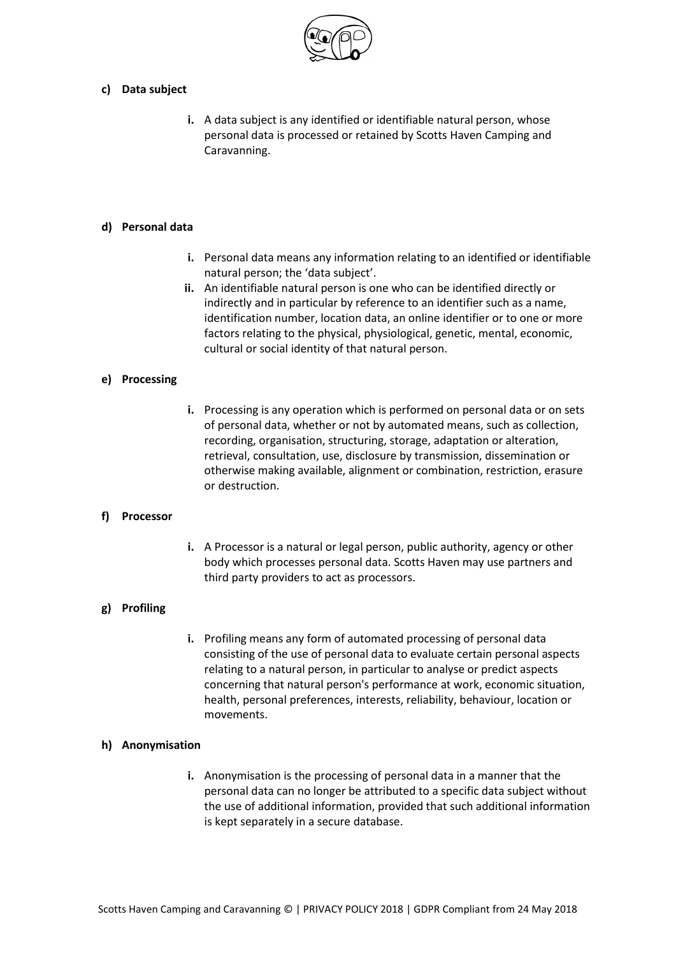

# **c) Data subject**

**i.** A data subject is any identified or identifiable natural person, whose personal data is processed or retained by Scotts Haven Camping and Caravanning.

# **d) Personal data**

- **i.** Personal data means any information relating to an identified or identifiable natural person; the 'data subject'.
- **ii.** An identifiable natural person is one who can be identified directly or indirectly and in particular by reference to an identifier such as a name, identification number, location data, an online identifier or to one or more factors relating to the physical, physiological, genetic, mental, economic, cultural or social identity of that natural person.

# **e) Processing**

**i.** Processing is any operation which is performed on personal data or on sets of personal data, whether or not by automated means, such as collection, recording, organisation, structuring, storage, adaptation or alteration, retrieval, consultation, use, disclosure by transmission, dissemination or otherwise making available, alignment or combination, restriction, erasure or destruction.

### **f) Processor**

**i.** A Processor is a natural or legal person, public authority, agency or other body which processes personal data. Scotts Haven may use partners and third party providers to act as processors.

### **g) Profiling**

**i.** Profiling means any form of automated processing of personal data consisting of the use of personal data to evaluate certain personal aspects relating to a natural person, in particular to analyse or predict aspects concerning that natural person's performance at work, economic situation, health, personal preferences, interests, reliability, behaviour, location or movements.

### **h) Anonymisation**

**i.** Anonymisation is the processing of personal data in a manner that the personal data can no longer be attributed to a specific data subject without the use of additional information, provided that such additional information is kept separately in a secure database.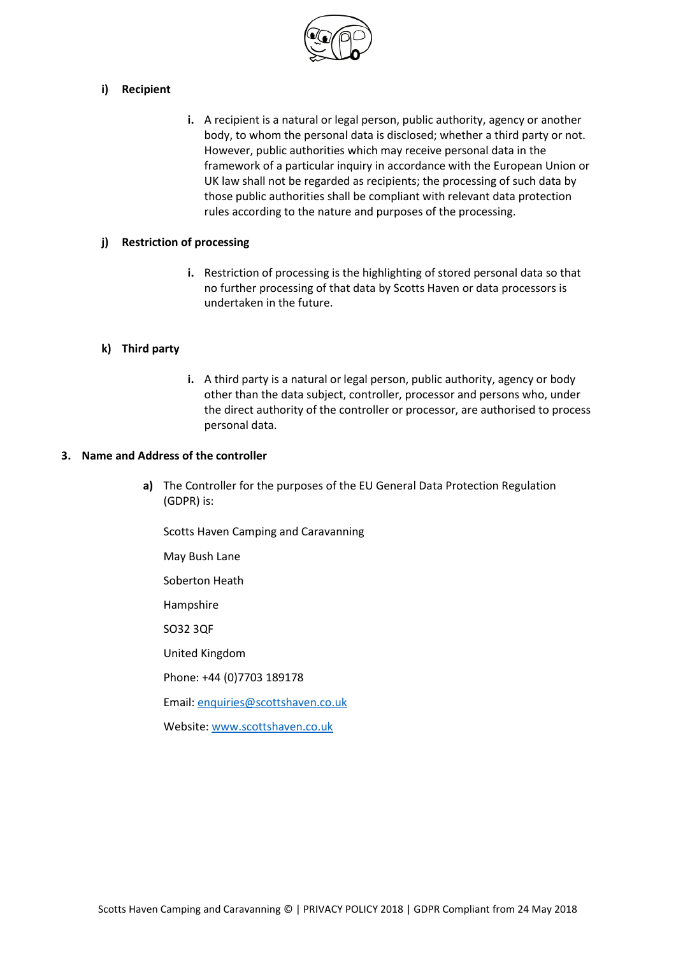

# **i) Recipient**

**i.** A recipient is a natural or legal person, public authority, agency or another body, to whom the personal data is disclosed; whether a third party or not. However, public authorities which may receive personal data in the framework of a particular inquiry in accordance with the European Union or UK law shall not be regarded as recipients; the processing of such data by those public authorities shall be compliant with relevant data protection rules according to the nature and purposes of the processing.

# **j) Restriction of processing**

**i.** Restriction of processing is the highlighting of stored personal data so that no further processing of that data by Scotts Haven or data processors is undertaken in the future.

# **k) Third party**

**i.** A third party is a natural or legal person, public authority, agency or body other than the data subject, controller, processor and persons who, under the direct authority of the controller or processor, are authorised to process personal data.

### **3. Name and Address of the controller**

**a)** The Controller for the purposes of the EU General Data Protection Regulation (GDPR) is:

Scotts Haven Camping and Caravanning

May Bush Lane

Soberton Heath

Hampshire

SO32 3QF

United Kingdom

Phone: +44 (0)7703 189178

Email: [enquiries@scottshaven.co.uk](mailto:enquiries@scottshaven.co.uk)

Website[: www.scottshaven.co.uk](http://www.scottshaven.co.uk/)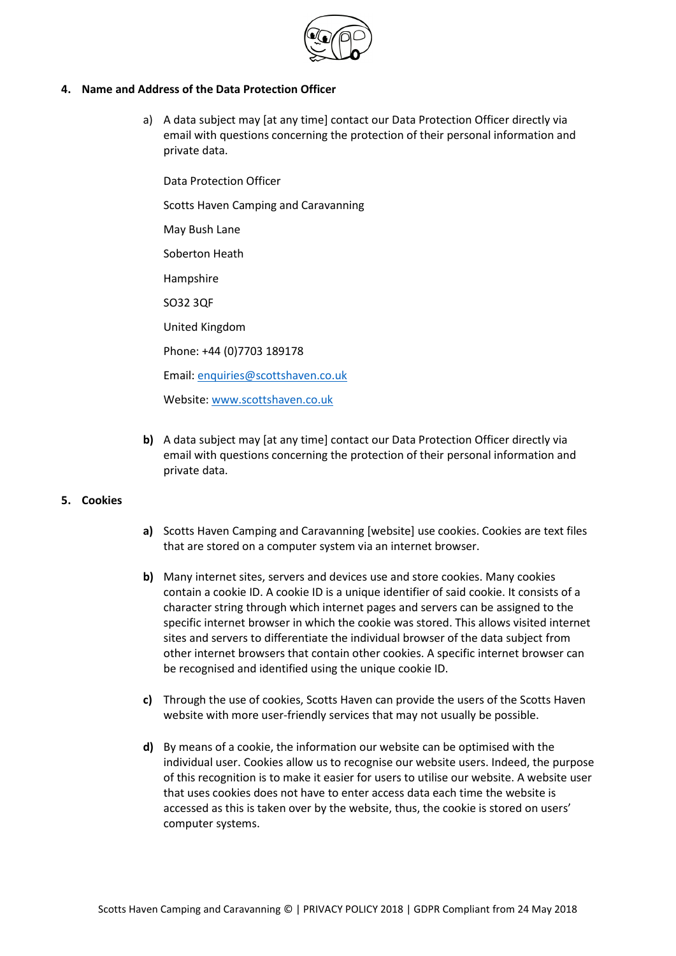

# **4. Name and Address of the Data Protection Officer**

a) A data subject may [at any time] contact our Data Protection Officer directly via email with questions concerning the protection of their personal information and private data.

Data Protection Officer

Scotts Haven Camping and Caravanning

May Bush Lane

Soberton Heath

Hampshire

SO32 3QF

United Kingdom

Phone: +44 (0)7703 189178

Email: [enquiries@scottshaven.co.uk](mailto:enquiries@scottshaven.co.uk)

Website[: www.scottshaven.co.uk](http://www.scottshaven.co.uk/)

**b)** A data subject may [at any time] contact our Data Protection Officer directly via email with questions concerning the protection of their personal information and private data.

### **5. Cookies**

- **a)** Scotts Haven Camping and Caravanning [website] use cookies. Cookies are text files that are stored on a computer system via an internet browser.
- **b)** Many internet sites, servers and devices use and store cookies. Many cookies contain a cookie ID. A cookie ID is a unique identifier of said cookie. It consists of a character string through which internet pages and servers can be assigned to the specific internet browser in which the cookie was stored. This allows visited internet sites and servers to differentiate the individual browser of the data subject from other internet browsers that contain other cookies. A specific internet browser can be recognised and identified using the unique cookie ID.
- **c)** Through the use of cookies, Scotts Haven can provide the users of the Scotts Haven website with more user-friendly services that may not usually be possible.
- **d)** By means of a cookie, the information our website can be optimised with the individual user. Cookies allow us to recognise our website users. Indeed, the purpose of this recognition is to make it easier for users to utilise our website. A website user that uses cookies does not have to enter access data each time the website is accessed as this is taken over by the website, thus, the cookie is stored on users' computer systems.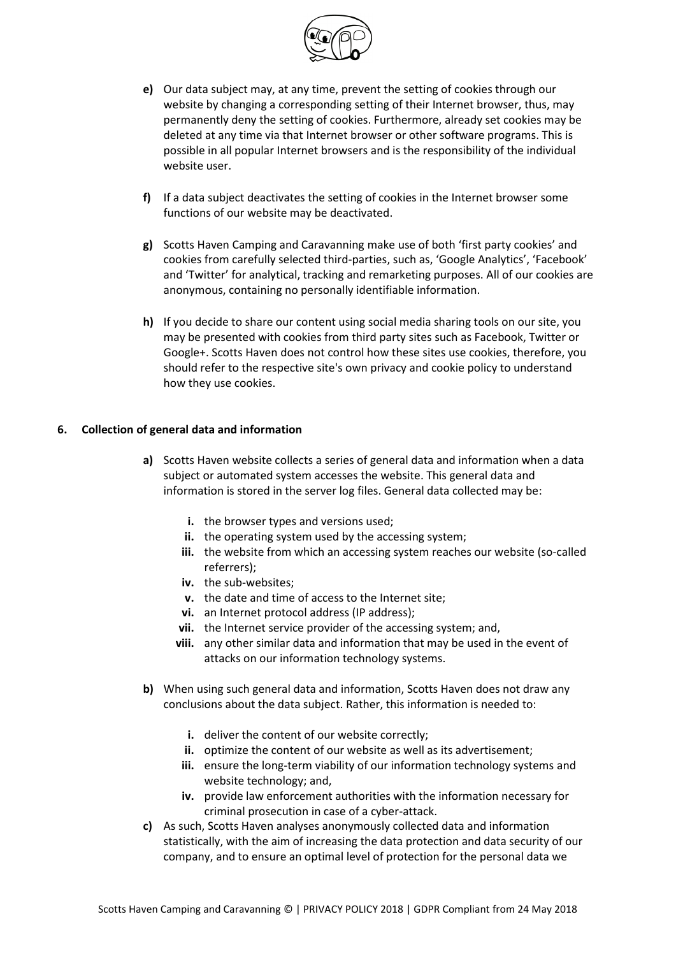

- **e)** Our data subject may, at any time, prevent the setting of cookies through our website by changing a corresponding setting of their Internet browser, thus, may permanently deny the setting of cookies. Furthermore, already set cookies may be deleted at any time via that Internet browser or other software programs. This is possible in all popular Internet browsers and is the responsibility of the individual website user.
- **f)** If a data subject deactivates the setting of cookies in the Internet browser some functions of our website may be deactivated.
- **g)** Scotts Haven Camping and Caravanning make use of both 'first party cookies' and cookies from carefully selected third-parties, such as, 'Google Analytics', 'Facebook' and 'Twitter' for analytical, tracking and remarketing purposes. All of our cookies are anonymous, containing no personally identifiable information.
- **h)** If you decide to share our content using social media sharing tools on our site, you may be presented with cookies from third party sites such as Facebook, Twitter or Google+. Scotts Haven does not control how these sites use cookies, therefore, you should refer to the respective site's own privacy and cookie policy to understand how they use cookies.

### **6. Collection of general data and information**

- **a)** Scotts Haven website collects a series of general data and information when a data subject or automated system accesses the website. This general data and information is stored in the server log files. General data collected may be:
	- **i.** the browser types and versions used;
	- **ii.** the operating system used by the accessing system;
	- iii. the website from which an accessing system reaches our website (so-called referrers);
	- **iv.** the sub-websites;
	- **v.** the date and time of access to the Internet site;
	- **vi.** an Internet protocol address (IP address);
	- **vii.** the Internet service provider of the accessing system; and,
	- **viii.** any other similar data and information that may be used in the event of attacks on our information technology systems.
- **b)** When using such general data and information, Scotts Haven does not draw any conclusions about the data subject. Rather, this information is needed to:
	- **i.** deliver the content of our website correctly;
	- **ii.** optimize the content of our website as well as its advertisement;
	- **iii.** ensure the long-term viability of our information technology systems and website technology; and,
	- **iv.** provide law enforcement authorities with the information necessary for criminal prosecution in case of a cyber-attack.
- **c)** As such, Scotts Haven analyses anonymously collected data and information statistically, with the aim of increasing the data protection and data security of our company, and to ensure an optimal level of protection for the personal data we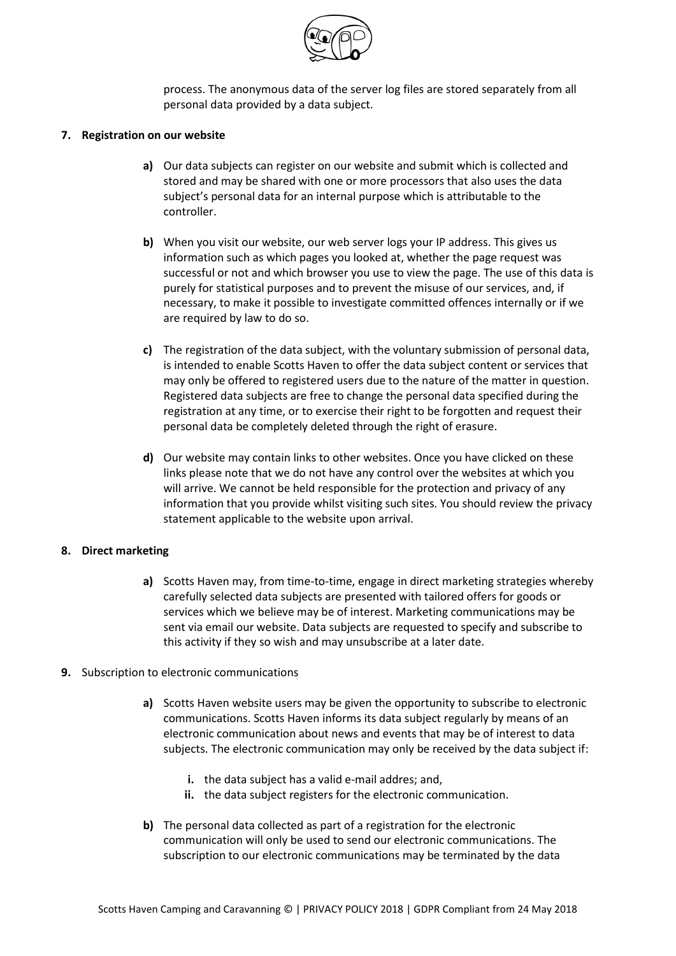

process. The anonymous data of the server log files are stored separately from all personal data provided by a data subject.

### **7. Registration on our website**

- **a)** Our data subjects can register on our website and submit which is collected and stored and may be shared with one or more processors that also uses the data subject's personal data for an internal purpose which is attributable to the controller.
- **b)** When you visit our website, our web server logs your IP address. This gives us information such as which pages you looked at, whether the page request was successful or not and which browser you use to view the page. The use of this data is purely for statistical purposes and to prevent the misuse of our services, and, if necessary, to make it possible to investigate committed offences internally or if we are required by law to do so.
- **c)** The registration of the data subject, with the voluntary submission of personal data, is intended to enable Scotts Haven to offer the data subject content or services that may only be offered to registered users due to the nature of the matter in question. Registered data subjects are free to change the personal data specified during the registration at any time, or to exercise their right to be forgotten and request their personal data be completely deleted through the right of erasure.
- **d)** Our website may contain links to other websites. Once you have clicked on these links please note that we do not have any control over the websites at which you will arrive. We cannot be held responsible for the protection and privacy of any information that you provide whilst visiting such sites. You should review the privacy statement applicable to the website upon arrival.

### **8. Direct marketing**

- **a)** Scotts Haven may, from time-to-time, engage in direct marketing strategies whereby carefully selected data subjects are presented with tailored offers for goods or services which we believe may be of interest. Marketing communications may be sent via email our website. Data subjects are requested to specify and subscribe to this activity if they so wish and may unsubscribe at a later date.
- **9.** Subscription to electronic communications
	- **a)** Scotts Haven website users may be given the opportunity to subscribe to electronic communications. Scotts Haven informs its data subject regularly by means of an electronic communication about news and events that may be of interest to data subjects. The electronic communication may only be received by the data subject if:
		- **i.** the data subject has a valid e-mail addres; and,
		- **ii.** the data subject registers for the electronic communication.
	- **b)** The personal data collected as part of a registration for the electronic communication will only be used to send our electronic communications. The subscription to our electronic communications may be terminated by the data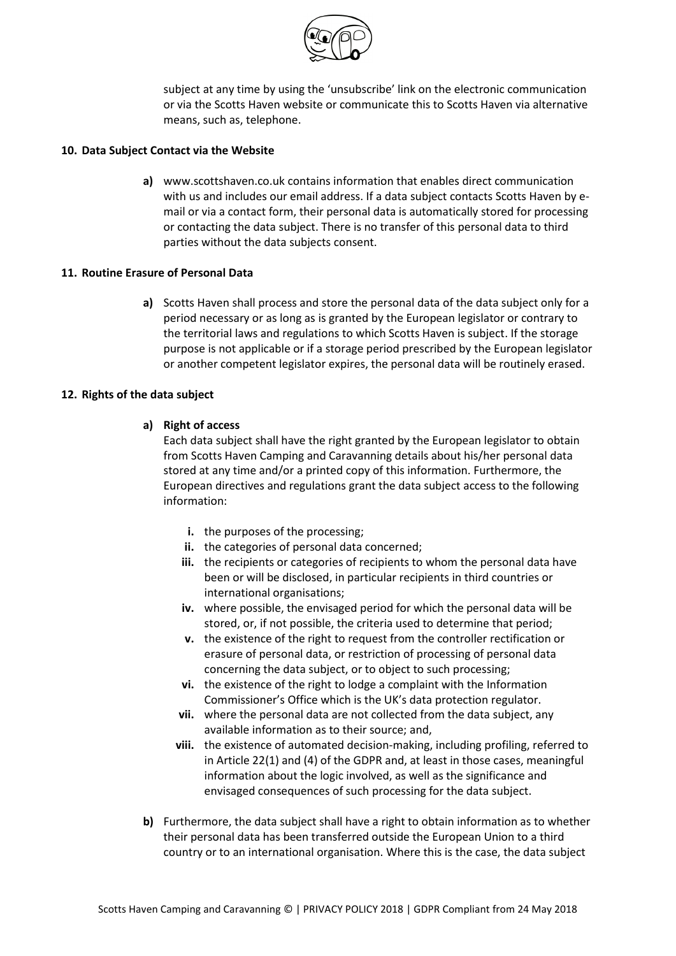

subject at any time by using the 'unsubscribe' link on the electronic communication or via the Scotts Haven website or communicate this to Scotts Haven via alternative means, such as, telephone.

### **10. Data Subject Contact via the Website**

**a)** www.scottshaven.co.uk contains information that enables direct communication with us and includes our email address. If a data subject contacts Scotts Haven by email or via a contact form, their personal data is automatically stored for processing or contacting the data subject. There is no transfer of this personal data to third parties without the data subjects consent.

# **11. Routine Erasure of Personal Data**

**a)** Scotts Haven shall process and store the personal data of the data subject only for a period necessary or as long as is granted by the European legislator or contrary to the territorial laws and regulations to which Scotts Haven is subject. If the storage purpose is not applicable or if a storage period prescribed by the European legislator or another competent legislator expires, the personal data will be routinely erased.

# **12. Rights of the data subject**

# **a) Right of access**

Each data subject shall have the right granted by the European legislator to obtain from Scotts Haven Camping and Caravanning details about his/her personal data stored at any time and/or a printed copy of this information. Furthermore, the European directives and regulations grant the data subject access to the following information:

- **i.** the purposes of the processing:
- **ii.** the categories of personal data concerned;
- **iii.** the recipients or categories of recipients to whom the personal data have been or will be disclosed, in particular recipients in third countries or international organisations;
- **iv.** where possible, the envisaged period for which the personal data will be stored, or, if not possible, the criteria used to determine that period;
- **v.** the existence of the right to request from the controller rectification or erasure of personal data, or restriction of processing of personal data concerning the data subject, or to object to such processing;
- **vi.** the existence of the right to lodge a complaint with the Information Commissioner's Office which is the UK's data protection regulator.
- **vii.** where the personal data are not collected from the data subject, any available information as to their source; and,
- **viii.** the existence of automated decision-making, including profiling, referred to in Article 22(1) and (4) of the GDPR and, at least in those cases, meaningful information about the logic involved, as well as the significance and envisaged consequences of such processing for the data subject.
- **b)** Furthermore, the data subject shall have a right to obtain information as to whether their personal data has been transferred outside the European Union to a third country or to an international organisation. Where this is the case, the data subject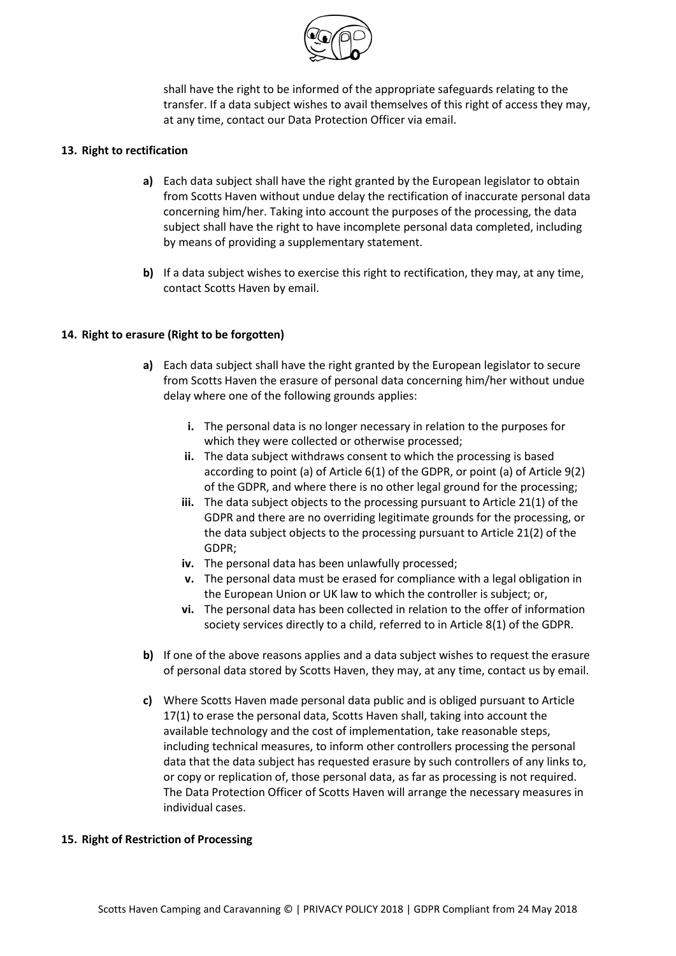

shall have the right to be informed of the appropriate safeguards relating to the transfer. If a data subject wishes to avail themselves of this right of access they may, at any time, contact our Data Protection Officer via email.

### **13. Right to rectification**

- **a)** Each data subject shall have the right granted by the European legislator to obtain from Scotts Haven without undue delay the rectification of inaccurate personal data concerning him/her. Taking into account the purposes of the processing, the data subject shall have the right to have incomplete personal data completed, including by means of providing a supplementary statement.
- **b)** If a data subject wishes to exercise this right to rectification, they may, at any time, contact Scotts Haven by email.

# **14. Right to erasure (Right to be forgotten)**

- **a)** Each data subject shall have the right granted by the European legislator to secure from Scotts Haven the erasure of personal data concerning him/her without undue delay where one of the following grounds applies:
	- **i.** The personal data is no longer necessary in relation to the purposes for which they were collected or otherwise processed;
	- **ii.** The data subject withdraws consent to which the processing is based according to point (a) of Article 6(1) of the GDPR, or point (a) of Article 9(2) of the GDPR, and where there is no other legal ground for the processing;
	- **iii.** The data subject objects to the processing pursuant to Article 21(1) of the GDPR and there are no overriding legitimate grounds for the processing, or the data subject objects to the processing pursuant to Article 21(2) of the GDPR;
	- **iv.** The personal data has been unlawfully processed;
	- **v.** The personal data must be erased for compliance with a legal obligation in the European Union or UK law to which the controller is subject; or,
	- **vi.** The personal data has been collected in relation to the offer of information society services directly to a child, referred to in Article 8(1) of the GDPR.
- **b)** If one of the above reasons applies and a data subject wishes to request the erasure of personal data stored by Scotts Haven, they may, at any time, contact us by email.
- **c)** Where Scotts Haven made personal data public and is obliged pursuant to Article 17(1) to erase the personal data, Scotts Haven shall, taking into account the available technology and the cost of implementation, take reasonable steps, including technical measures, to inform other controllers processing the personal data that the data subject has requested erasure by such controllers of any links to, or copy or replication of, those personal data, as far as processing is not required. The Data Protection Officer of Scotts Haven will arrange the necessary measures in individual cases.

### **15. Right of Restriction of Processing**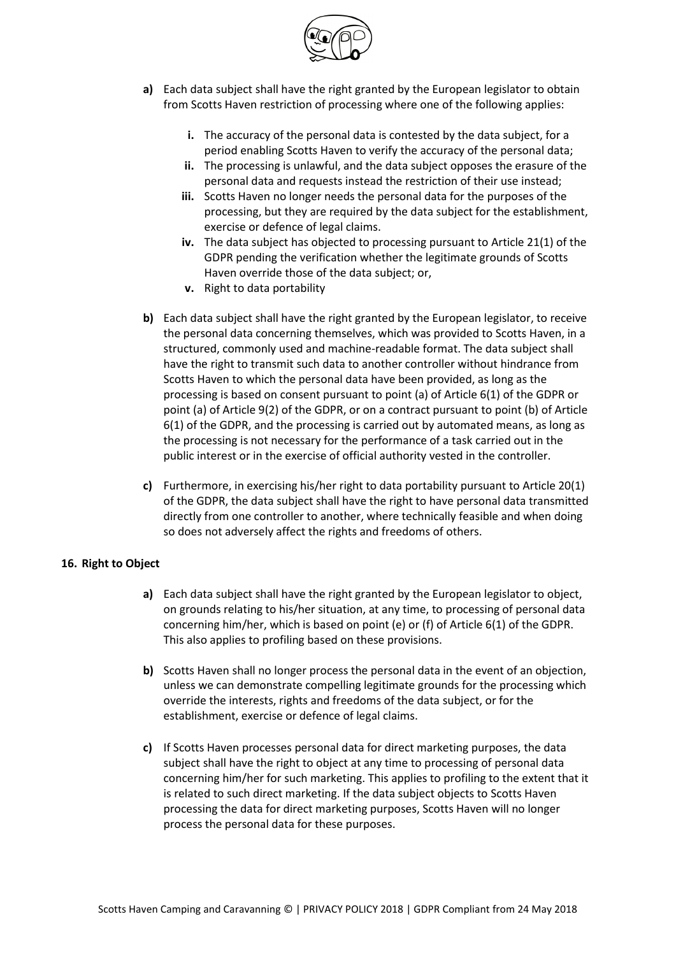

- **a)** Each data subject shall have the right granted by the European legislator to obtain from Scotts Haven restriction of processing where one of the following applies:
	- **i.** The accuracy of the personal data is contested by the data subject, for a period enabling Scotts Haven to verify the accuracy of the personal data;
	- **ii.** The processing is unlawful, and the data subject opposes the erasure of the personal data and requests instead the restriction of their use instead;
	- **iii.** Scotts Haven no longer needs the personal data for the purposes of the processing, but they are required by the data subject for the establishment, exercise or defence of legal claims.
	- **iv.** The data subject has objected to processing pursuant to Article 21(1) of the GDPR pending the verification whether the legitimate grounds of Scotts Haven override those of the data subject; or,
	- **v.** Right to data portability
- **b)** Each data subject shall have the right granted by the European legislator, to receive the personal data concerning themselves, which was provided to Scotts Haven, in a structured, commonly used and machine-readable format. The data subject shall have the right to transmit such data to another controller without hindrance from Scotts Haven to which the personal data have been provided, as long as the processing is based on consent pursuant to point (a) of Article 6(1) of the GDPR or point (a) of Article 9(2) of the GDPR, or on a contract pursuant to point (b) of Article 6(1) of the GDPR, and the processing is carried out by automated means, as long as the processing is not necessary for the performance of a task carried out in the public interest or in the exercise of official authority vested in the controller.
- **c)** Furthermore, in exercising his/her right to data portability pursuant to Article 20(1) of the GDPR, the data subject shall have the right to have personal data transmitted directly from one controller to another, where technically feasible and when doing so does not adversely affect the rights and freedoms of others.

### **16. Right to Object**

- **a)** Each data subject shall have the right granted by the European legislator to object, on grounds relating to his/her situation, at any time, to processing of personal data concerning him/her, which is based on point (e) or (f) of Article 6(1) of the GDPR. This also applies to profiling based on these provisions.
- **b)** Scotts Haven shall no longer process the personal data in the event of an objection, unless we can demonstrate compelling legitimate grounds for the processing which override the interests, rights and freedoms of the data subject, or for the establishment, exercise or defence of legal claims.
- **c)** If Scotts Haven processes personal data for direct marketing purposes, the data subject shall have the right to object at any time to processing of personal data concerning him/her for such marketing. This applies to profiling to the extent that it is related to such direct marketing. If the data subject objects to Scotts Haven processing the data for direct marketing purposes, Scotts Haven will no longer process the personal data for these purposes.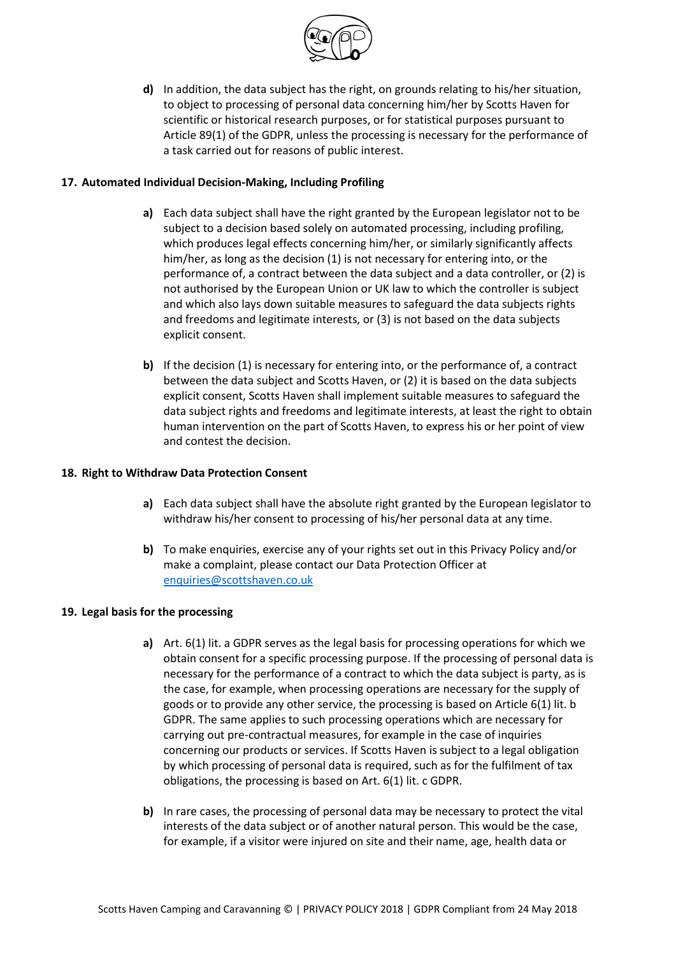

**d)** In addition, the data subject has the right, on grounds relating to his/her situation, to object to processing of personal data concerning him/her by Scotts Haven for scientific or historical research purposes, or for statistical purposes pursuant to Article 89(1) of the GDPR, unless the processing is necessary for the performance of a task carried out for reasons of public interest.

# **17. Automated Individual Decision-Making, Including Profiling**

- **a)** Each data subject shall have the right granted by the European legislator not to be subject to a decision based solely on automated processing, including profiling, which produces legal effects concerning him/her, or similarly significantly affects him/her, as long as the decision (1) is not necessary for entering into, or the performance of, a contract between the data subject and a data controller, or (2) is not authorised by the European Union or UK law to which the controller is subject and which also lays down suitable measures to safeguard the data subjects rights and freedoms and legitimate interests, or (3) is not based on the data subjects explicit consent.
- **b)** If the decision (1) is necessary for entering into, or the performance of, a contract between the data subject and Scotts Haven, or (2) it is based on the data subjects explicit consent, Scotts Haven shall implement suitable measures to safeguard the data subject rights and freedoms and legitimate interests, at least the right to obtain human intervention on the part of Scotts Haven, to express his or her point of view and contest the decision.

# **18. Right to Withdraw Data Protection Consent**

- **a)** Each data subject shall have the absolute right granted by the European legislator to withdraw his/her consent to processing of his/her personal data at any time.
- **b)** To make enquiries, exercise any of your rights set out in this Privacy Policy and/or make a complaint, please contact our Data Protection Officer at [enquiries@scottshaven.co.uk](mailto:enquiries@scottshaven.co.uk)

### **19. Legal basis for the processing**

- **a)** Art. 6(1) lit. a GDPR serves as the legal basis for processing operations for which we obtain consent for a specific processing purpose. If the processing of personal data is necessary for the performance of a contract to which the data subject is party, as is the case, for example, when processing operations are necessary for the supply of goods or to provide any other service, the processing is based on Article 6(1) lit. b GDPR. The same applies to such processing operations which are necessary for carrying out pre-contractual measures, for example in the case of inquiries concerning our products or services. If Scotts Haven is subject to a legal obligation by which processing of personal data is required, such as for the fulfilment of tax obligations, the processing is based on Art. 6(1) lit. c GDPR.
- **b)** In rare cases, the processing of personal data may be necessary to protect the vital interests of the data subject or of another natural person. This would be the case, for example, if a visitor were injured on site and their name, age, health data or